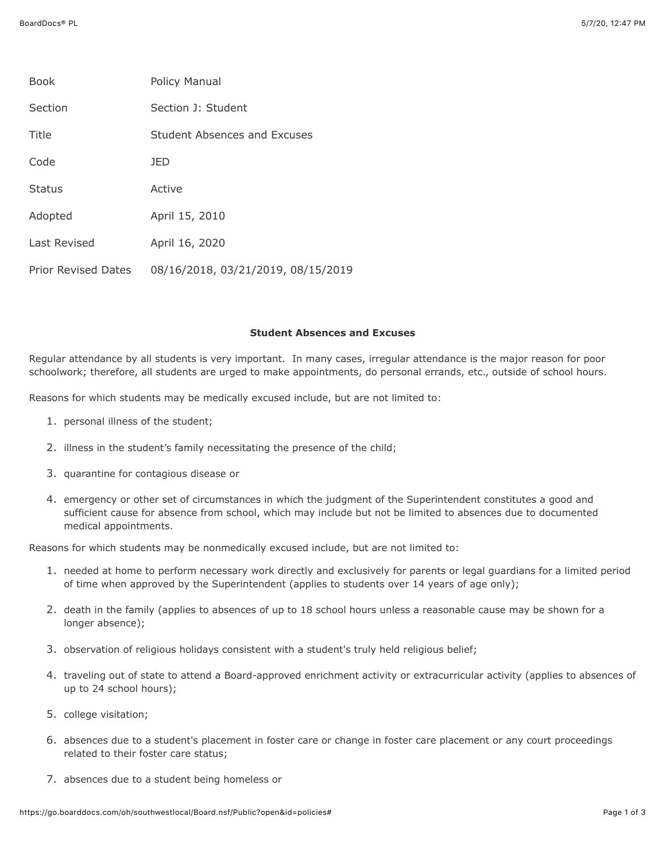| <b>Book</b>                | Policy Manual                      |
|----------------------------|------------------------------------|
| Section                    | Section J: Student                 |
| Title                      | Student Absences and Excuses       |
| Code                       | JED                                |
| <b>Status</b>              | Active                             |
| Adopted                    | April 15, 2010                     |
| Last Revised               | April 16, 2020                     |
| <b>Prior Revised Dates</b> | 08/16/2018, 03/21/2019, 08/15/2019 |

## **Student Absences and Excuses**

Regular attendance by all students is very important. In many cases, irregular attendance is the major reason for poor schoolwork; therefore, all students are urged to make appointments, do personal errands, etc., outside of school hours.

Reasons for which students may be medically excused include, but are not limited to:

- 1. personal illness of the student;
- 2. illness in the student's family necessitating the presence of the child;
- 3. quarantine for contagious disease or
- 4. emergency or other set of circumstances in which the judgment of the Superintendent constitutes a good and sufficient cause for absence from school, which may include but not be limited to absences due to documented medical appointments.

Reasons for which students may be nonmedically excused include, but are not limited to:

- 1. needed at home to perform necessary work directly and exclusively for parents or legal guardians for a limited period of time when approved by the Superintendent (applies to students over 14 years of age only);
- 2. death in the family (applies to absences of up to 18 school hours unless a reasonable cause may be shown for a longer absence);
- 3. observation of religious holidays consistent with a student's truly held religious belief;
- 4. traveling out of state to attend a Board-approved enrichment activity or extracurricular activity (applies to absences of up to 24 school hours);
- 5. college visitation;
- 6. absences due to a student's placement in foster care or change in foster care placement or any court proceedings related to their foster care status;
- 7. absences due to a student being homeless or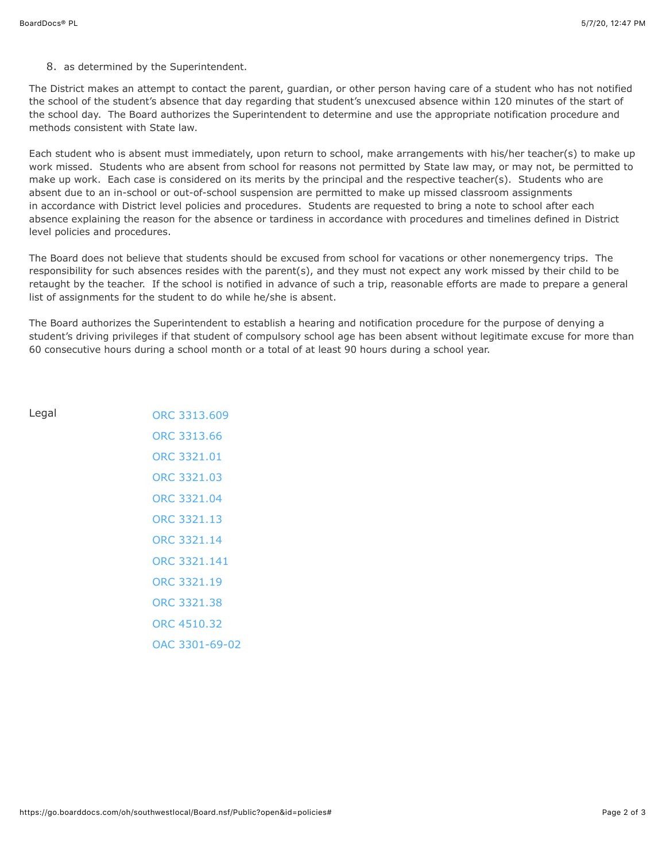8. as determined by the Superintendent.

The District makes an attempt to contact the parent, guardian, or other person having care of a student who has not notified the school of the student's absence that day regarding that student's unexcused absence within 120 minutes of the start of the school day. The Board authorizes the Superintendent to determine and use the appropriate notification procedure and methods consistent with State law.

Each student who is absent must immediately, upon return to school, make arrangements with his/her teacher(s) to make up work missed. Students who are absent from school for reasons not permitted by State law may, or may not, be permitted to make up work. Each case is considered on its merits by the principal and the respective teacher(s). Students who are absent due to an in-school or out-of-school suspension are permitted to make up missed classroom assignments in accordance with District level policies and procedures. Students are requested to bring a note to school after each absence explaining the reason for the absence or tardiness in accordance with procedures and timelines defined in District level policies and procedures.

The Board does not believe that students should be excused from school for vacations or other nonemergency trips. The responsibility for such absences resides with the parent(s), and they must not expect any work missed by their child to be retaught by the teacher. If the school is notified in advance of such a trip, reasonable efforts are made to prepare a general list of assignments for the student to do while he/she is absent.

The Board authorizes the Superintendent to establish a hearing and notification procedure for the purpose of denying a student's driving privileges if that student of compulsory school age has been absent without legitimate excuse for more than 60 consecutive hours during a school month or a total of at least 90 hours during a school year.

| Legal | ORC 3313.609   |
|-------|----------------|
|       | ORC 3313.66    |
|       | ORC 3321.01    |
|       | ORC 3321.03    |
|       | ORC 3321.04    |
|       | ORC 3321.13    |
|       | ORC 3321.14    |
|       | ORC 3321.141   |
|       | ORC 3321.19    |
|       | ORC 3321.38    |
|       | ORC 4510.32    |
|       | OAC 3301-69-02 |